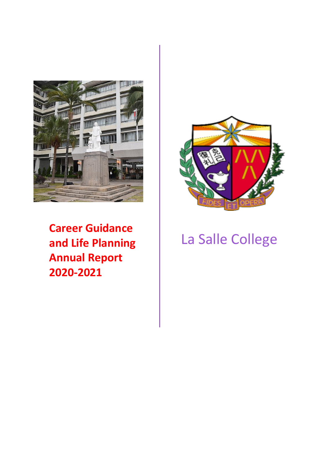

**Career Guidance and Life Planning Annual Report 2020 -202 1**



# La Salle College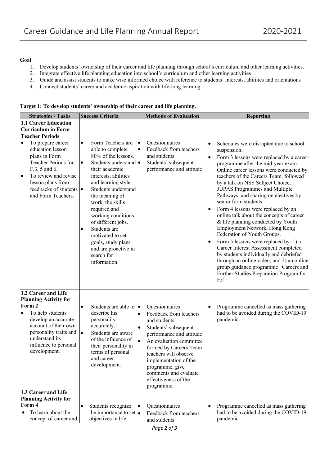#### **Goal**

- 1. Develop students' ownership of their career and life planning through school's curriculum and other learning activities.
- 2. Integrate effective life planning education into school's curriculum and other learning activities
- 3. Guide and assist students to make wise informed choice with reference to students' interests, abilities and orientations
- 4. Connect students' career and academic aspiration with life-long learning

|  | Target 1: To develop students' ownership of their career and life planning. |  |  |
|--|-----------------------------------------------------------------------------|--|--|
|  |                                                                             |  |  |

| <b>Strategies / Tasks</b>                                                                                                                                                                                                                    | <b>Success Criteria</b>                                                                                                                                                                                                                                                                                                                                                                                            | <b>Methods of Evaluation</b>                                                                                                                                                                                                                                                                                                    | <b>Reporting</b>                                                                                                                                                                                                                                                                                                                                                                                                                                                                                                                                                                                                                                                                                                                                                                                                                                 |
|----------------------------------------------------------------------------------------------------------------------------------------------------------------------------------------------------------------------------------------------|--------------------------------------------------------------------------------------------------------------------------------------------------------------------------------------------------------------------------------------------------------------------------------------------------------------------------------------------------------------------------------------------------------------------|---------------------------------------------------------------------------------------------------------------------------------------------------------------------------------------------------------------------------------------------------------------------------------------------------------------------------------|--------------------------------------------------------------------------------------------------------------------------------------------------------------------------------------------------------------------------------------------------------------------------------------------------------------------------------------------------------------------------------------------------------------------------------------------------------------------------------------------------------------------------------------------------------------------------------------------------------------------------------------------------------------------------------------------------------------------------------------------------------------------------------------------------------------------------------------------------|
| <b>1.1 Career Education</b>                                                                                                                                                                                                                  |                                                                                                                                                                                                                                                                                                                                                                                                                    |                                                                                                                                                                                                                                                                                                                                 |                                                                                                                                                                                                                                                                                                                                                                                                                                                                                                                                                                                                                                                                                                                                                                                                                                                  |
| <b>Curriculum in Form</b>                                                                                                                                                                                                                    |                                                                                                                                                                                                                                                                                                                                                                                                                    |                                                                                                                                                                                                                                                                                                                                 |                                                                                                                                                                                                                                                                                                                                                                                                                                                                                                                                                                                                                                                                                                                                                                                                                                                  |
| <b>Teacher Periods</b>                                                                                                                                                                                                                       |                                                                                                                                                                                                                                                                                                                                                                                                                    |                                                                                                                                                                                                                                                                                                                                 |                                                                                                                                                                                                                                                                                                                                                                                                                                                                                                                                                                                                                                                                                                                                                                                                                                                  |
| To prepare career<br>$\bullet$<br>education lesson<br>plans in Form<br>Teacher Periods for<br>F.3, 5 and 6.<br>To review and revise<br>$\bullet$<br>lesson plans from<br>feedbacks of students $\bullet$<br>and Form Teachers.               | Form Teachers are<br>$\bullet$<br>able to complete<br>80% of the lessons.<br>Students understand •<br>lo<br>their academic<br>interests, abilities<br>and learning style.<br>Students understand<br>the meaning of<br>work, the skills<br>required and<br>working conditions<br>of different jobs.<br>Students are<br>motivated to set<br>goals, study plans<br>and are proactive in<br>search for<br>information. | Questionnaires<br>$\bullet$<br>Feedback from teachers<br>$\bullet$<br>and students<br>Students' subsequent<br>performance and attitude                                                                                                                                                                                          | Schedules were disrupted due to school<br>suspension.<br>Form 3 lessons were replaced by a career<br>programme after the mid-year exam.<br>Online career lessons were conducted by<br>teachers of the Careers Team, followed<br>by a talk on NSS Subject Choice,<br>JUPAS Programmes and Multiple<br>Pathways, and sharing on electives by<br>senior form students.<br>Form 4 lessons were replaced by an<br>$\bullet$<br>online talk about the concepts of career<br>& life planning conducted by Youth<br>Employment Network, Hong Kong<br>Federation of Youth Groups.<br>Form 5 lessons were replaced by: 1) a<br>٠<br>Career Interest Assessment completed<br>by students individually and debriefed<br>through an online video; and 2) an online<br>group guidance programme "Careers and<br>Further Studies Preparation Program for<br>F5" |
| 1.2 Career and Life<br><b>Planning Activity for</b><br>Form 2<br>To help students<br>$\bullet$<br>develop an accurate<br>account of their own<br>personality traits and $\bullet$<br>understand its<br>influence to personal<br>development. | Students are able to $\bullet$<br>describe his<br>personality<br>accurately.<br>Students are aware<br>of the influence of<br>their personality in<br>terms of personal<br>and career<br>development.                                                                                                                                                                                                               | Questionnaires<br>Feedback from teachers<br>and students<br>Students' subsequent<br>$\bullet$<br>performance and attitude<br>$\bullet$<br>An evaluation committee<br>formed by Careers Team<br>teachers will observe<br>implementation of the<br>programme, give<br>comments and evaluate<br>effectiveness of the<br>programme. | Programme cancelled as mass gathering<br>had to be avoided during the COVID-19<br>pandemic.                                                                                                                                                                                                                                                                                                                                                                                                                                                                                                                                                                                                                                                                                                                                                      |
| 1.3 Career and Life<br><b>Planning Activity for</b><br>Form 4<br>To learn about the<br>$\bullet$<br>concept of career and                                                                                                                    | Students recognize<br>the importance to set<br>objectives in life.                                                                                                                                                                                                                                                                                                                                                 | Questionnaires<br>$\bullet$<br>Feedback from teachers<br>and students                                                                                                                                                                                                                                                           | Programme cancelled as mass gathering<br>had to be avoided during the COVID-19<br>pandemic.                                                                                                                                                                                                                                                                                                                                                                                                                                                                                                                                                                                                                                                                                                                                                      |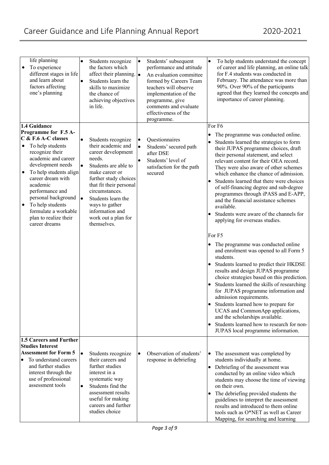| life planning<br>To experience<br>٠<br>different stages in life<br>and learn about<br>factors affecting<br>one's planning                                                  | $\bullet$<br>$\bullet$ | Students recognize<br>the factors which<br>affect their planning. $\bullet$<br>Students learn the<br>skills to maximize<br>the chance of<br>achieving objectives<br>in life. | $\bullet$              | Students' subsequent<br>performance and attitude<br>An evaluation committee<br>formed by Careers Team<br>teachers will observe<br>implementation of the<br>programme, give<br>comments and evaluate<br>effectiveness of the<br>programme. | $\bullet$ | To help students understand the concept<br>of career and life planning, an online talk<br>for F.4 students was conducted in<br>February. The attendance was more than<br>90%. Over 90% of the participants<br>agreed that they learned the concepts and<br>importance of career planning.                                                                                          |
|----------------------------------------------------------------------------------------------------------------------------------------------------------------------------|------------------------|------------------------------------------------------------------------------------------------------------------------------------------------------------------------------|------------------------|-------------------------------------------------------------------------------------------------------------------------------------------------------------------------------------------------------------------------------------------|-----------|------------------------------------------------------------------------------------------------------------------------------------------------------------------------------------------------------------------------------------------------------------------------------------------------------------------------------------------------------------------------------------|
| 1.4 Guidance                                                                                                                                                               |                        |                                                                                                                                                                              |                        |                                                                                                                                                                                                                                           |           | For F6                                                                                                                                                                                                                                                                                                                                                                             |
| Programme for F.5 A-                                                                                                                                                       |                        |                                                                                                                                                                              |                        |                                                                                                                                                                                                                                           | $\bullet$ | The programme was conducted online.                                                                                                                                                                                                                                                                                                                                                |
| C & F.6 A-C classes                                                                                                                                                        | $\bullet$              | Students recognize                                                                                                                                                           | ٠                      | Questionnaires                                                                                                                                                                                                                            |           |                                                                                                                                                                                                                                                                                                                                                                                    |
| To help students<br>recognize their<br>academic and career<br>development needs<br>To help students align<br>$\bullet$<br>career dream with<br>academic<br>performance and | l.                     | their academic and<br>career development<br>needs.<br>Students are able to<br>make career or<br>further study choices<br>that fit their personal<br>circumstances.           | $\bullet$<br>$\bullet$ | Students' secured path<br>after DSE<br>Students' level of<br>satisfaction for the path<br>secured                                                                                                                                         | ٠         | Students learned the strategies to form<br>their JUPAS programme choices, draft<br>their personal statement, and select<br>relevant content for their OEA record.<br>They were also aware of other schemes<br>which enhance the chance of admission.<br>Students learned that there were choices<br>of self-financing degree and sub-degree<br>programmes through iPASS and E-APP, |
| personal background                                                                                                                                                        | l.                     | Students learn the                                                                                                                                                           |                        |                                                                                                                                                                                                                                           |           | and the financial assistance schemes                                                                                                                                                                                                                                                                                                                                               |
| To help students<br>$\bullet$                                                                                                                                              |                        | ways to gather                                                                                                                                                               |                        |                                                                                                                                                                                                                                           |           | available.                                                                                                                                                                                                                                                                                                                                                                         |
| formulate a workable<br>plan to realize their<br>career dreams                                                                                                             |                        | information and<br>work out a plan for<br>themselves.                                                                                                                        |                        |                                                                                                                                                                                                                                           |           | Students were aware of the channels for<br>applying for overseas studies.                                                                                                                                                                                                                                                                                                          |
|                                                                                                                                                                            |                        |                                                                                                                                                                              |                        |                                                                                                                                                                                                                                           |           |                                                                                                                                                                                                                                                                                                                                                                                    |
|                                                                                                                                                                            |                        |                                                                                                                                                                              |                        |                                                                                                                                                                                                                                           |           | For F5                                                                                                                                                                                                                                                                                                                                                                             |
|                                                                                                                                                                            |                        |                                                                                                                                                                              |                        |                                                                                                                                                                                                                                           |           | The programme was conducted online<br>and enrolment was opened to all Form 5<br>students.                                                                                                                                                                                                                                                                                          |
|                                                                                                                                                                            |                        |                                                                                                                                                                              |                        |                                                                                                                                                                                                                                           |           | Students learned to predict their HKDSE<br>results and design JUPAS programme<br>choice strategies based on this prediction.                                                                                                                                                                                                                                                       |
|                                                                                                                                                                            |                        |                                                                                                                                                                              |                        |                                                                                                                                                                                                                                           |           | Students learned the skills of researching<br>for JUPAS programme information and<br>admission requirements.                                                                                                                                                                                                                                                                       |
|                                                                                                                                                                            |                        |                                                                                                                                                                              |                        |                                                                                                                                                                                                                                           |           | Students learned how to prepare for<br>UCAS and CommonApp applications,<br>and the scholarships available.                                                                                                                                                                                                                                                                         |
|                                                                                                                                                                            |                        |                                                                                                                                                                              |                        |                                                                                                                                                                                                                                           |           | Students learned how to research for non-<br>JUPAS local programme information.                                                                                                                                                                                                                                                                                                    |
| 1.5 Careers and Further                                                                                                                                                    |                        |                                                                                                                                                                              |                        |                                                                                                                                                                                                                                           |           |                                                                                                                                                                                                                                                                                                                                                                                    |
| <b>Studies Interest</b>                                                                                                                                                    |                        |                                                                                                                                                                              |                        |                                                                                                                                                                                                                                           |           |                                                                                                                                                                                                                                                                                                                                                                                    |
| <b>Assessment for Form 5</b>                                                                                                                                               | $\bullet$              | Students recognize                                                                                                                                                           | $\bullet$              | Observation of students'                                                                                                                                                                                                                  | $\bullet$ | The assessment was completed by                                                                                                                                                                                                                                                                                                                                                    |
| To understand careers<br>$\bullet$                                                                                                                                         |                        | their careers and                                                                                                                                                            |                        | response in debriefing                                                                                                                                                                                                                    |           | students individually at home.                                                                                                                                                                                                                                                                                                                                                     |
| and further studies                                                                                                                                                        |                        | further studies                                                                                                                                                              |                        |                                                                                                                                                                                                                                           | ٠         | Debriefing of the assessment was                                                                                                                                                                                                                                                                                                                                                   |
| interest through the                                                                                                                                                       |                        | interest in a                                                                                                                                                                |                        |                                                                                                                                                                                                                                           |           | conducted by an online video which                                                                                                                                                                                                                                                                                                                                                 |
| use of professional<br>assessment tools                                                                                                                                    | $\bullet$              | systematic way<br>Students find the                                                                                                                                          |                        |                                                                                                                                                                                                                                           |           | students may choose the time of viewing<br>on their own.                                                                                                                                                                                                                                                                                                                           |
|                                                                                                                                                                            |                        | assessment results                                                                                                                                                           |                        |                                                                                                                                                                                                                                           |           | The debriefing provided students the                                                                                                                                                                                                                                                                                                                                               |
|                                                                                                                                                                            |                        | useful for making<br>careers and further<br>studies choice                                                                                                                   |                        |                                                                                                                                                                                                                                           | ٠         | guidelines to interpret the assessment<br>results and introduced to them online<br>tools such as O*NET as well as Career                                                                                                                                                                                                                                                           |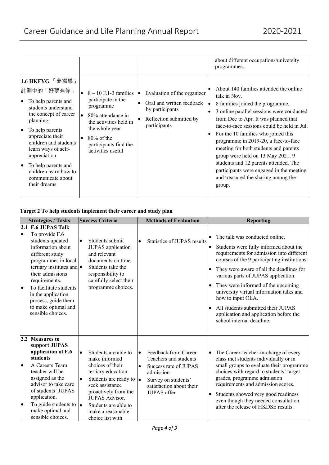|                                                                                                                                                                                                                                                                                                                                       |                                                                                                                                                                                            |                                                                                                                               | about different occupations/university<br>programmes.                                                                                                                                                                                                                                                                                                                                                                                                                                                                             |
|---------------------------------------------------------------------------------------------------------------------------------------------------------------------------------------------------------------------------------------------------------------------------------------------------------------------------------------|--------------------------------------------------------------------------------------------------------------------------------------------------------------------------------------------|-------------------------------------------------------------------------------------------------------------------------------|-----------------------------------------------------------------------------------------------------------------------------------------------------------------------------------------------------------------------------------------------------------------------------------------------------------------------------------------------------------------------------------------------------------------------------------------------------------------------------------------------------------------------------------|
| 1.6 HKFYG 「夢嚮導」<br>計劃中的「好夢有你」<br>To help parents and<br>$\bullet$<br>students understand<br>the concept of career<br>planning<br>To help parents<br>lo<br>appreciate their<br>children and students<br>learn ways of self-<br>appreciation<br>To help parents and<br>lo<br>children learn how to<br>communicate about<br>their dreams | $8 - 10$ F.1-3 families<br>participate in the<br>programme<br>80% attendance in<br>the activities held in<br>the whole year<br>$80\%$ of the<br>participants find the<br>activities useful | Evaluation of the organizer<br>le.<br>Oral and written feedback<br>by participants<br>Reflection submitted by<br>participants | About 140 families attended the online<br>talk in Nov.<br>8 families joined the programme.<br>3 online parallel sessions were conducted<br>from Dec to Apr. It was planned that<br>face-to-face sessions could be held in Jul.<br>For the 10 families who joined this<br>programme in 2019-20, a face-to-face<br>meeting for both students and parents<br>group were held on 13 May 2021. 9<br>students and 12 parents attended. The<br>participants were engaged in the meeting<br>and treasured the sharing among the<br>group. |

## **Target 2 To help students implement their career and study plan**

|                        | <b>Strategies / Tasks</b>                                                                                                                                                                                                                                                                                            | <b>Success Criteria</b>                                                                                                                                                                                                                                                     |                        | <b>Methods of Evaluation</b>                                                                                                                          |        | <b>Reporting</b>                                                                                                                                                                                                                                                                                                                                                                                                                                                             |
|------------------------|----------------------------------------------------------------------------------------------------------------------------------------------------------------------------------------------------------------------------------------------------------------------------------------------------------------------|-----------------------------------------------------------------------------------------------------------------------------------------------------------------------------------------------------------------------------------------------------------------------------|------------------------|-------------------------------------------------------------------------------------------------------------------------------------------------------|--------|------------------------------------------------------------------------------------------------------------------------------------------------------------------------------------------------------------------------------------------------------------------------------------------------------------------------------------------------------------------------------------------------------------------------------------------------------------------------------|
| $\bullet$<br>$\bullet$ | 2.1 F.6 JUPAS Talk<br>To provide F.6<br>students updated<br>information about<br>different study<br>programmes in local<br>tertiary institutes and $\bullet$<br>their admissions<br>requirements.<br>To facilitate students<br>in the application<br>process, guide them<br>to make optimal and<br>sensible choices. | Students submit<br>JUPAS application<br>and relevant<br>documents on time.<br>Students take the<br>responsibility to<br>carefully select their<br>programme choices.                                                                                                        |                        | Statistics of JUPAS results                                                                                                                           |        | The talk was conducted online.<br>Students were fully informed about the<br>requirements for admission into different<br>courses of the 9 participating institutions.<br>They were aware of all the deadlines for<br>various parts of JUPAS application.<br>They were informed of the upcoming<br>university virtual information talks and<br>how to input OEA.<br>All students submitted their JUPAS<br>application and application before the<br>school internal deadline. |
| $\bullet$<br>$\bullet$ | 2.2 Measures to<br>support JUPAS<br>application of F.6<br>students<br>A Careers Team<br>teacher will be<br>assigned as the<br>advisor to take care<br>of students' JUPAS<br>application.<br>To guide students to $\bullet$<br>make optimal and<br>sensible choices.                                                  | Students are able to<br>$\bullet$<br>make informed<br>choices of their<br>tertiary education.<br>Students are ready to $\bullet$<br>$\bullet$<br>seek assistance<br>proactively from the<br>JUPAS Advisor.<br>Students are able to<br>make a reasonable<br>choice list with | $\bullet$<br>$\bullet$ | Feedback from Career<br>Teachers and students<br>Success rate of JUPAS<br>admission<br>Survey on students'<br>satisfaction about their<br>JUPAS offer | ٠<br>٠ | The Career-teacher-in-charge of every<br>class met students individually or in<br>small groups to evaluate their programme<br>choices with regard to students' target<br>grades, programme admission<br>requirements and admission scores.<br>Students showed very good readiness<br>even though they needed consultation<br>after the release of HKDSE results.                                                                                                             |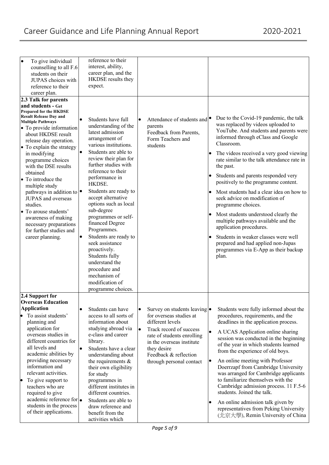| $\bullet$<br>To give individual            | reference to their                         |                                           |                                                                                        |
|--------------------------------------------|--------------------------------------------|-------------------------------------------|----------------------------------------------------------------------------------------|
| counselling to all F.6                     | interest, ability,                         |                                           |                                                                                        |
| students on their                          | career plan, and the<br>HKDSE results they |                                           |                                                                                        |
| JUPAS choices with                         | expect.                                    |                                           |                                                                                        |
| reference to their                         |                                            |                                           |                                                                                        |
| career plan.                               |                                            |                                           |                                                                                        |
| 2.3 Talk for parents<br>and students - Get |                                            |                                           |                                                                                        |
| Prepared for the HKDSE                     |                                            |                                           |                                                                                        |
| <b>Result Release Day and</b>              | Students have full<br>$\bullet$            | Attendance of students and<br>$\bullet$   | Due to the Covid-19 pandemic, the talk                                                 |
| <b>Multiple Pathways</b>                   | understanding of the                       | parents                                   | was replaced by videos uploaded to                                                     |
| • To provide information                   | latest admission                           | Feedback from Parents,                    | YouTube. And students and parents were                                                 |
| about HKDSE result                         | arrangement of                             | Form Teachers and                         | informed through eClass and Google                                                     |
| release day operation.                     | various institutions.                      | students                                  | Classroom.                                                                             |
| • To explain the strategy                  | $\bullet$<br>Students are able to          |                                           |                                                                                        |
| in modifying                               | review their plan for                      |                                           | The videos received a very good viewing<br>rate similar to the talk attendance rate in |
| programme choices<br>with the DSE results  | further studies with                       |                                           |                                                                                        |
| obtained                                   | reference to their                         |                                           | the past.                                                                              |
| • To introduce the                         | performance in                             |                                           | Students and parents responded very                                                    |
| multiple study                             | HKDSE.                                     |                                           | positively to the programme content.                                                   |
| pathways in addition to $\bullet$          | Students are ready to                      |                                           | Most students had a clear idea on how to<br>$\bullet$                                  |
| JUPAS and overseas                         | accept alternative                         |                                           | seek advice on modification of                                                         |
| studies.                                   | options such as local                      |                                           | programme choices.                                                                     |
| • To arouse students'                      | sub-degree                                 |                                           |                                                                                        |
| awareness of making                        | programmes or self-                        |                                           | Most students understood clearly the                                                   |
| necessary preparations                     | financed Degree                            |                                           | multiple pathways available and the                                                    |
| for further studies and                    | Programmes.                                |                                           | application procedures.                                                                |
| career planning.                           | Students are ready to<br>$\bullet$         |                                           | Students in weaker classes were well                                                   |
|                                            | seek assistance                            |                                           | prepared and had applied non-Jupas                                                     |
|                                            | proactively.                               |                                           | programmes via E-App as their backup                                                   |
|                                            | Students fully                             |                                           | plan.                                                                                  |
|                                            | understand the                             |                                           |                                                                                        |
|                                            | procedure and                              |                                           |                                                                                        |
|                                            | mechanism of                               |                                           |                                                                                        |
|                                            | modification of                            |                                           |                                                                                        |
|                                            | programme choices.                         |                                           |                                                                                        |
| 2.4 Support for                            |                                            |                                           |                                                                                        |
| <b>Overseas Education</b>                  |                                            |                                           |                                                                                        |
| <b>Application</b>                         | Students can have<br>$\bullet$             | Survey on students leaving •<br>$\bullet$ | Students were fully informed about the                                                 |
| To assist students'                        | access to all sorts of                     | for overseas studies at                   | procedures, requirements, and the                                                      |
| planning and                               | information about                          | different levels                          | deadlines in the application process.                                                  |
| application for<br>overseas studies in     | studying abroad via<br>e-class and career  | Track record of success<br>$\bullet$      | $\bullet$<br>A UCAS Application online sharing                                         |
| different countries for                    | library.                                   | rate of students enrolling                | session was conducted in the beginning                                                 |
| all levels and                             | $\bullet$<br>Students have a clear         | in the overseas institute                 | of the year in which students learned                                                  |
| academic abilities by                      | understanding about                        | they desire<br>Feedback & reflection      | from the experience of old boys.                                                       |
| providing necessary                        | the requirements $&$                       | through personal contact                  | An online meeting with Professor<br>$\bullet$                                          |
| information and                            | their own eligibility                      |                                           | Doerrzapf from Cambridge University                                                    |
| relevant activities.                       | for study                                  |                                           | was arranged for Cambridge applicants                                                  |
| To give support to<br>þ                    | programmes in                              |                                           | to familiarize themselves with the                                                     |
| teachers who are                           | different institutes in                    |                                           | Cambridge admission process. 11 F.5-6                                                  |
| required to give                           | different countries.                       |                                           | students. Joined the talk.                                                             |
| academic reference for •                   | Students are able to                       |                                           |                                                                                        |
| students in the process                    | draw reference and                         |                                           | An online admission talk given by<br>representatives from Peking University            |
| of their applications.                     | benefit from the                           |                                           | (北京大學), Remin University of China                                                      |
|                                            | activities which                           |                                           |                                                                                        |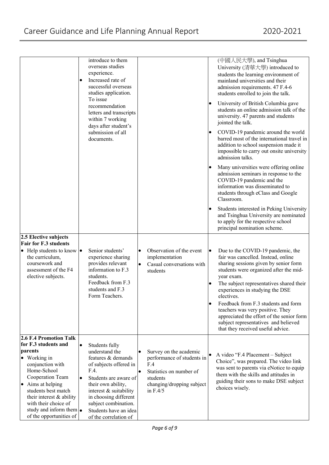|                                                                                                                                                                                                                                                                                                                  | introduce to them<br>overseas studies<br>experience.<br>Increased rate of<br>$\bullet$<br>successful overseas<br>studies application.<br>To issue<br>recommendation<br>letters and transcripts<br>within 7 working<br>days after student's<br>submission of all<br>documents.                  |                                                                                                                                                                         | (中國人民大學), and Tsinghua<br>University (清華大學) introduced to<br>students the learning environment of<br>mainland universities and their<br>admission requirements. 47 F.4-6<br>students enrolled to join the talk.<br>University of British Columbia gave<br>students an online admission talk of the<br>university. 47 parents and students<br>jointed the talk.<br>COVID-19 pandemic around the world<br>barred most of the international travel in<br>addition to school suspension made it<br>impossible to carry out onsite university<br>admission talks.<br>Many universities were offering online<br>admission seminars in response to the<br>COVID-19 pandemic and the<br>information was disseminated to<br>students through eClass and Google |
|------------------------------------------------------------------------------------------------------------------------------------------------------------------------------------------------------------------------------------------------------------------------------------------------------------------|------------------------------------------------------------------------------------------------------------------------------------------------------------------------------------------------------------------------------------------------------------------------------------------------|-------------------------------------------------------------------------------------------------------------------------------------------------------------------------|-------------------------------------------------------------------------------------------------------------------------------------------------------------------------------------------------------------------------------------------------------------------------------------------------------------------------------------------------------------------------------------------------------------------------------------------------------------------------------------------------------------------------------------------------------------------------------------------------------------------------------------------------------------------------------------------------------------------------------------------------------|
|                                                                                                                                                                                                                                                                                                                  |                                                                                                                                                                                                                                                                                                |                                                                                                                                                                         | Classroom.<br>Students interested in Peking University<br>and Tsinghua University are nominated<br>to apply for the respective school<br>principal nomination scheme.                                                                                                                                                                                                                                                                                                                                                                                                                                                                                                                                                                                 |
| 2.5 Elective subjects<br><b>Fair for F.3 students</b><br>$\bullet$ Help students to know $\bullet$<br>the curriculum,<br>coursework and<br>assessment of the F4<br>elective subjects.                                                                                                                            | Senior students'<br>experience sharing<br>provides relevant<br>information to F.3<br>students.<br>Feedback from F.3<br>students and F.3<br>Form Teachers.                                                                                                                                      | Observation of the event<br>$\bullet$<br>implementation<br>Casual conversations with<br>$\bullet$<br>students                                                           | Due to the COVID-19 pandemic, the<br>fair was cancelled. Instead, online<br>sharing sessions given by senior form<br>students were organized after the mid-<br>year exam.<br>The subject representatives shared their<br>experiences in studying the DSE<br>electives.<br>Feedback from F.3 students and form<br>teachers was very positive. They<br>appreciated the effort of the senior form<br>subject representatives and believed<br>that they received useful advice.                                                                                                                                                                                                                                                                           |
| <b>2.6 F.4 Promotion Talk</b><br>for F.3 students and<br>parents<br>• Working in<br>conjunction with<br>Home-School<br>Cooperation Team<br>Aims at helping<br>$\bullet$<br>students best match<br>their interest & ability<br>with their choice of<br>study and inform them $\bullet$<br>of the opportunities of | $\bullet$<br>Students fully<br>understand the<br>features & demands<br>of subjects offered in<br>F.4.<br>Students are aware of<br>$\bullet$<br>their own ability,<br>interest & suitability<br>in choosing different<br>subject combination.<br>Students have an idea<br>of the correlation of | Survey on the academic<br>$\bullet$<br>performance of students in<br>F.4<br>Statistics on number of<br>$\bullet$<br>students<br>changing/dropping subject<br>in $F.4/5$ | A video "F.4 Placement - Subject<br>Choice", was prepared. The video link<br>was sent to parents via eNotice to equip<br>them with the skills and attitudes in<br>guiding their sons to make DSE subject<br>choices wisely.                                                                                                                                                                                                                                                                                                                                                                                                                                                                                                                           |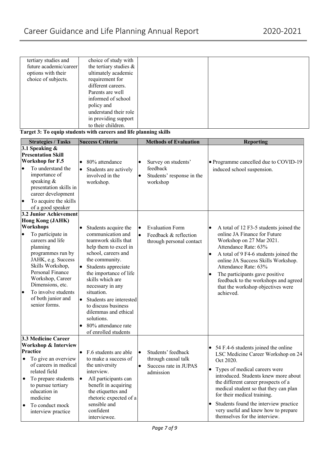| tertiary studies and   | choice of study with   |  |
|------------------------|------------------------|--|
| future academic/career | the tertiary studies & |  |
| options with their     | ultimately academic    |  |
| choice of subjects.    | requirement for        |  |
|                        | different careers.     |  |
|                        | Parents are well       |  |
|                        | informed of school     |  |
|                        | policy and             |  |
|                        | understand their role  |  |
|                        | in providing support   |  |
|                        | to their children.     |  |

**Target 3: To equip students with careers and life planning skills**

| <b>Strategies / Tasks</b>                                                                                                                                                                                                                                            | <b>Success Criteria</b>                                                                                                                                                                                                                                                                                                                                                                                     | <b>Methods of Evaluation</b>                                                                              | <b>Reporting</b>                                                                                                                                                                                                                                                                                                                                                                   |
|----------------------------------------------------------------------------------------------------------------------------------------------------------------------------------------------------------------------------------------------------------------------|-------------------------------------------------------------------------------------------------------------------------------------------------------------------------------------------------------------------------------------------------------------------------------------------------------------------------------------------------------------------------------------------------------------|-----------------------------------------------------------------------------------------------------------|------------------------------------------------------------------------------------------------------------------------------------------------------------------------------------------------------------------------------------------------------------------------------------------------------------------------------------------------------------------------------------|
| 3.1 Speaking &                                                                                                                                                                                                                                                       |                                                                                                                                                                                                                                                                                                                                                                                                             |                                                                                                           |                                                                                                                                                                                                                                                                                                                                                                                    |
| <b>Presentation Skill</b>                                                                                                                                                                                                                                            |                                                                                                                                                                                                                                                                                                                                                                                                             |                                                                                                           |                                                                                                                                                                                                                                                                                                                                                                                    |
| <b>Workshop for F.5</b>                                                                                                                                                                                                                                              | 80% attendance<br>$\bullet$                                                                                                                                                                                                                                                                                                                                                                                 | Survey on students'<br>$\bullet$                                                                          | • Programme cancelled due to COVID-19                                                                                                                                                                                                                                                                                                                                              |
| To understand the<br>$\bullet$<br>importance of<br>speaking &<br>presentation skills in<br>career development<br>To acquire the skills<br>$\bullet$<br>of a good speaker                                                                                             | Students are actively<br>$\bullet$<br>involved in the<br>workshop.                                                                                                                                                                                                                                                                                                                                          | feedback<br>Students' response in the<br>$\bullet$<br>workshop                                            | induced school suspension.                                                                                                                                                                                                                                                                                                                                                         |
| <b>3.2 Junior Achievement</b>                                                                                                                                                                                                                                        |                                                                                                                                                                                                                                                                                                                                                                                                             |                                                                                                           |                                                                                                                                                                                                                                                                                                                                                                                    |
| Hong Kong (JAHK)<br>Workshops                                                                                                                                                                                                                                        | $\bullet$                                                                                                                                                                                                                                                                                                                                                                                                   | <b>Evaluation Form</b><br>$\bullet$                                                                       | $\bullet$                                                                                                                                                                                                                                                                                                                                                                          |
| To participate in<br>$\bullet$<br>careers and life<br>planning<br>programmes run by<br>JAHK, e.g. Success<br>Skills Workshop,<br>Personal Finance<br>Workshop, Career<br>Dimensions, etc.<br>To involve students<br>$\bullet$<br>of both junior and<br>senior forms. | Students acquire the<br>communication and<br>teamwork skills that<br>help them to excel in<br>school, careers and<br>the community.<br>$\bullet$<br>Students appreciate<br>the importance of life<br>skills which are<br>necessary in any<br>situation.<br>$\bullet$<br>Students are interested<br>to discuss business<br>dilemmas and ethical<br>solutions.<br>80% attendance rate<br>of enrolled students | $\bullet$<br>Feedback & reflection<br>through personal contact                                            | A total of 12 F3-5 students joined the<br>online JA Finance for Future<br>Workshop on 27 Mar 2021.<br>Attendance Rate: 63%<br>A total of 9 F4-6 students joined the<br>$\bullet$<br>online JA Success Skills Workshop.<br>Attendance Rate: 63%<br>The participants gave positive<br>feedback to the workshops and agreed<br>that the workshop objectives were<br>achieved.         |
| 3.3 Medicine Career                                                                                                                                                                                                                                                  |                                                                                                                                                                                                                                                                                                                                                                                                             |                                                                                                           |                                                                                                                                                                                                                                                                                                                                                                                    |
| <b>Workshop &amp; Interview</b>                                                                                                                                                                                                                                      |                                                                                                                                                                                                                                                                                                                                                                                                             |                                                                                                           | • 54 F.4-6 students joined the online                                                                                                                                                                                                                                                                                                                                              |
| Practice<br>To give an overview<br>$\bullet$<br>of careers in medical<br>related field<br>To prepare students<br>$\bullet$<br>to pursue tertiary<br>education in<br>medicine<br>To conduct mock<br>$\bullet$<br>interview practice                                   | $\bullet$<br>F.6 students are able<br>to make a success of<br>the university<br>interview.<br>$\bullet$<br>All participants can<br>benefit in acquiring<br>the etiquettes and<br>rhetoric expected of a<br>sensible and<br>confident<br>interviewee.                                                                                                                                                        | Students' feedback<br>$\bullet$<br>through causal talk<br>$\bullet$<br>Success rate in JUPAS<br>admission | LSC Medicine Career Workshop on 24<br>Oct 2020.<br>Types of medical careers were<br>$\bullet$<br>introduced. Students knew more about<br>the different career prospects of a<br>medical student so that they can plan<br>for their medical training.<br>Students found the interview practice<br>$\bullet$<br>very useful and knew how to prepare<br>themselves for the interview. |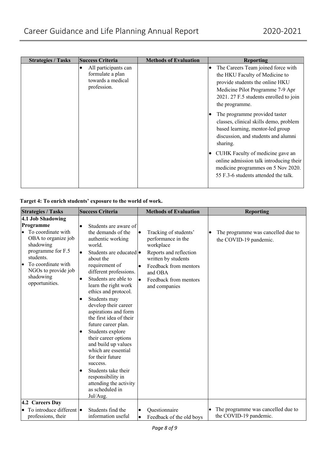| <b>Strategies / Tasks</b> | <b>Success Criteria</b>                                                      | <b>Methods of Evaluation</b> | <b>Reporting</b>                                                                                                                                                                                                                         |
|---------------------------|------------------------------------------------------------------------------|------------------------------|------------------------------------------------------------------------------------------------------------------------------------------------------------------------------------------------------------------------------------------|
|                           | All participants can<br>formulate a plan<br>towards a medical<br>profession. |                              | The Careers Team joined force with<br>the HKU Faculty of Medicine to<br>provide students the online HKU<br>Medicine Pilot Programme 7-9 Apr<br>2021. 27 F.5 students enrolled to join<br>the programme.<br>The programme provided taster |
|                           |                                                                              |                              | classes, clinical skills demo, problem<br>based learning, mentor-led group<br>discussion, and students and alumni<br>sharing.                                                                                                            |
|                           |                                                                              |                              | CUHK Faculty of medicine gave an<br>online admission talk introducing their<br>medicine programmes on 5 Nov 2020.<br>55 F.3-6 students attended the talk.                                                                                |

## **Target 4: To enrich students' exposure to the world of work.**

| <b>Strategies / Tasks</b>                                                                                                                                                                              | <b>Success Criteria</b>                                                                                                                                                                                                                                                                                                                                                                                                                                                                                                                                                                 | <b>Methods of Evaluation</b>                                                                                                                                                                                      | <b>Reporting</b>                                             |
|--------------------------------------------------------------------------------------------------------------------------------------------------------------------------------------------------------|-----------------------------------------------------------------------------------------------------------------------------------------------------------------------------------------------------------------------------------------------------------------------------------------------------------------------------------------------------------------------------------------------------------------------------------------------------------------------------------------------------------------------------------------------------------------------------------------|-------------------------------------------------------------------------------------------------------------------------------------------------------------------------------------------------------------------|--------------------------------------------------------------|
| 4.1 Job Shadowing<br>Programme<br>To coordinate with<br>OBA to organize job<br>shadowing<br>programme for F.5<br>students.<br>To coordinate with<br>NGOs to provide job<br>shadowing<br>opportunities. | Students are aware of<br>the demands of the<br>authentic working<br>world.<br>Students are educated •<br>about the<br>requirement of<br>different professions.<br>Students are able to<br>learn the right work<br>ethics and protocol.<br>Students may<br>develop their career<br>aspirations and form<br>the first idea of their<br>future career plan.<br>Students explore<br>their career options<br>and build up values<br>which are essential<br>for their future<br>success.<br>Students take their<br>responsibility in<br>attending the activity<br>as scheduled in<br>Jul/Aug. | Tracking of students'<br>$\bullet$<br>performance in the<br>workplace<br>Reports and reflection<br>written by students<br>Feedback from mentors<br>and OBA<br>Feedback from mentors<br>$\bullet$<br>and companies | The programme was cancelled due to<br>the COVID-19 pandemic. |
| 4.2 Careers Day<br>To introduce different •<br>professions, their                                                                                                                                      | Students find the<br>information useful                                                                                                                                                                                                                                                                                                                                                                                                                                                                                                                                                 | Questionnaire<br>Feedback of the old boys<br>$\bullet$                                                                                                                                                            | The programme was cancelled due to<br>the COVID-19 pandemic. |